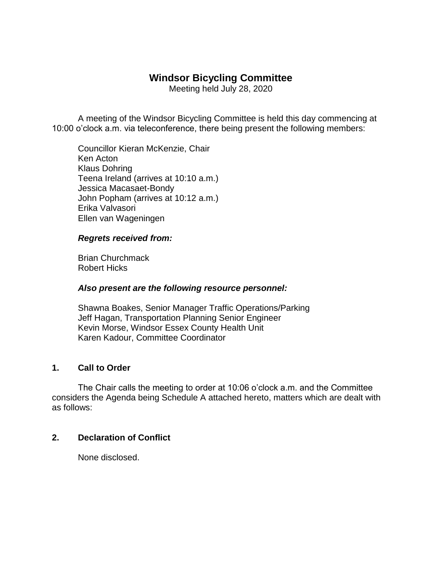# **Windsor Bicycling Committee**

Meeting held July 28, 2020

A meeting of the Windsor Bicycling Committee is held this day commencing at 10:00 o'clock a.m. via teleconference, there being present the following members:

Councillor Kieran McKenzie, Chair Ken Acton Klaus Dohring Teena Ireland (arrives at 10:10 a.m.) Jessica Macasaet-Bondy John Popham (arrives at 10:12 a.m.) Erika Valvasori Ellen van Wageningen

#### *Regrets received from:*

Brian Churchmack Robert Hicks

#### *Also present are the following resource personnel:*

Shawna Boakes, Senior Manager Traffic Operations/Parking Jeff Hagan, Transportation Planning Senior Engineer Kevin Morse, Windsor Essex County Health Unit Karen Kadour, Committee Coordinator

## **1. Call to Order**

The Chair calls the meeting to order at 10:06 o'clock a.m. and the Committee considers the Agenda being Schedule A attached hereto, matters which are dealt with as follows:

#### **2. Declaration of Conflict**

None disclosed.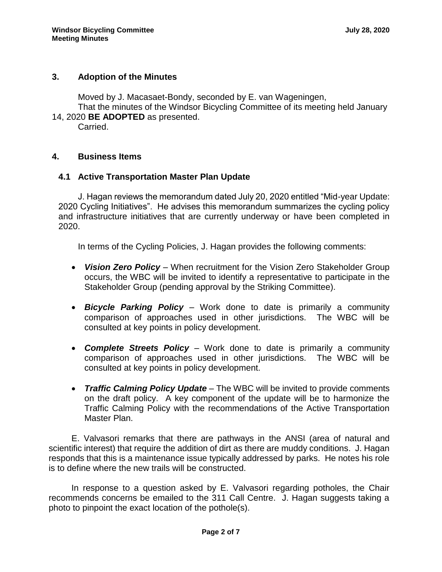## **3. Adoption of the Minutes**

Moved by J. Macasaet-Bondy, seconded by E. van Wageningen,

That the minutes of the Windsor Bicycling Committee of its meeting held January 14, 2020 **BE ADOPTED** as presented.

Carried.

#### **4. Business Items**

## **4.1 Active Transportation Master Plan Update**

J. Hagan reviews the memorandum dated July 20, 2020 entitled "Mid-year Update: 2020 Cycling Initiatives". He advises this memorandum summarizes the cycling policy and infrastructure initiatives that are currently underway or have been completed in 2020.

In terms of the Cycling Policies, J. Hagan provides the following comments:

- *Vision Zero Policy* When recruitment for the Vision Zero Stakeholder Group occurs, the WBC will be invited to identify a representative to participate in the Stakeholder Group (pending approval by the Striking Committee).
- *Bicycle Parking Policy* Work done to date is primarily a community comparison of approaches used in other jurisdictions. The WBC will be consulted at key points in policy development.
- *Complete Streets Policy* Work done to date is primarily a community comparison of approaches used in other jurisdictions. The WBC will be consulted at key points in policy development.
- *Traffic Calming Policy Update* The WBC will be invited to provide comments on the draft policy. A key component of the update will be to harmonize the Traffic Calming Policy with the recommendations of the Active Transportation Master Plan.

E. Valvasori remarks that there are pathways in the ANSI (area of natural and scientific interest) that require the addition of dirt as there are muddy conditions. J. Hagan responds that this is a maintenance issue typically addressed by parks. He notes his role is to define where the new trails will be constructed.

In response to a question asked by E. Valvasori regarding potholes, the Chair recommends concerns be emailed to the 311 Call Centre. J. Hagan suggests taking a photo to pinpoint the exact location of the pothole(s).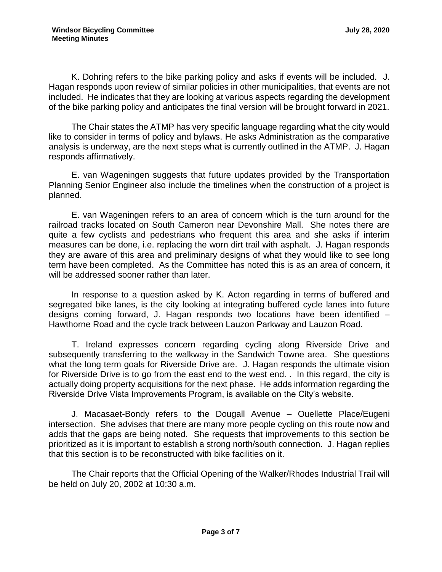K. Dohring refers to the bike parking policy and asks if events will be included. J. Hagan responds upon review of similar policies in other municipalities, that events are not included. He indicates that they are looking at various aspects regarding the development of the bike parking policy and anticipates the final version will be brought forward in 2021.

The Chair states the ATMP has very specific language regarding what the city would like to consider in terms of policy and bylaws. He asks Administration as the comparative analysis is underway, are the next steps what is currently outlined in the ATMP. J. Hagan responds affirmatively.

E. van Wageningen suggests that future updates provided by the Transportation Planning Senior Engineer also include the timelines when the construction of a project is planned.

E. van Wageningen refers to an area of concern which is the turn around for the railroad tracks located on South Cameron near Devonshire Mall. She notes there are quite a few cyclists and pedestrians who frequent this area and she asks if interim measures can be done, i.e. replacing the worn dirt trail with asphalt. J. Hagan responds they are aware of this area and preliminary designs of what they would like to see long term have been completed. As the Committee has noted this is as an area of concern, it will be addressed sooner rather than later.

In response to a question asked by K. Acton regarding in terms of buffered and segregated bike lanes, is the city looking at integrating buffered cycle lanes into future designs coming forward, J. Hagan responds two locations have been identified – Hawthorne Road and the cycle track between Lauzon Parkway and Lauzon Road.

T. Ireland expresses concern regarding cycling along Riverside Drive and subsequently transferring to the walkway in the Sandwich Towne area. She questions what the long term goals for Riverside Drive are. J. Hagan responds the ultimate vision for Riverside Drive is to go from the east end to the west end. . In this regard, the city is actually doing property acquisitions for the next phase. He adds information regarding the Riverside Drive Vista Improvements Program, is available on the City's website.

J. Macasaet-Bondy refers to the Dougall Avenue – Ouellette Place/Eugeni intersection. She advises that there are many more people cycling on this route now and adds that the gaps are being noted. She requests that improvements to this section be prioritized as it is important to establish a strong north/south connection. J. Hagan replies that this section is to be reconstructed with bike facilities on it.

The Chair reports that the Official Opening of the Walker/Rhodes Industrial Trail will be held on July 20, 2002 at 10:30 a.m.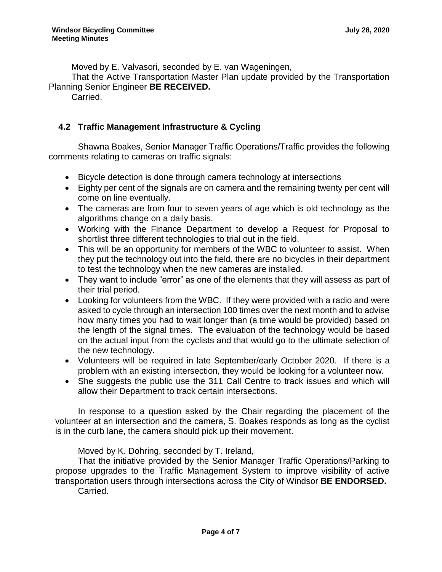Moved by E. Valvasori, seconded by E. van Wageningen,

That the Active Transportation Master Plan update provided by the Transportation Planning Senior Engineer **BE RECEIVED.**

Carried.

## **4.2 Traffic Management Infrastructure & Cycling**

Shawna Boakes, Senior Manager Traffic Operations/Traffic provides the following comments relating to cameras on traffic signals:

- Bicycle detection is done through camera technology at intersections
- Eighty per cent of the signals are on camera and the remaining twenty per cent will come on line eventually.
- The cameras are from four to seven years of age which is old technology as the algorithms change on a daily basis.
- Working with the Finance Department to develop a Request for Proposal to shortlist three different technologies to trial out in the field.
- This will be an opportunity for members of the WBC to volunteer to assist. When they put the technology out into the field, there are no bicycles in their department to test the technology when the new cameras are installed.
- They want to include "error" as one of the elements that they will assess as part of their trial period.
- Looking for volunteers from the WBC. If they were provided with a radio and were asked to cycle through an intersection 100 times over the next month and to advise how many times you had to wait longer than (a time would be provided) based on the length of the signal times. The evaluation of the technology would be based on the actual input from the cyclists and that would go to the ultimate selection of the new technology.
- Volunteers will be required in late September/early October 2020. If there is a problem with an existing intersection, they would be looking for a volunteer now.
- She suggests the public use the 311 Call Centre to track issues and which will allow their Department to track certain intersections.

In response to a question asked by the Chair regarding the placement of the volunteer at an intersection and the camera, S. Boakes responds as long as the cyclist is in the curb lane, the camera should pick up their movement.

Moved by K. Dohring, seconded by T. Ireland,

That the initiative provided by the Senior Manager Traffic Operations/Parking to propose upgrades to the Traffic Management System to improve visibility of active transportation users through intersections across the City of Windsor **BE ENDORSED.** Carried.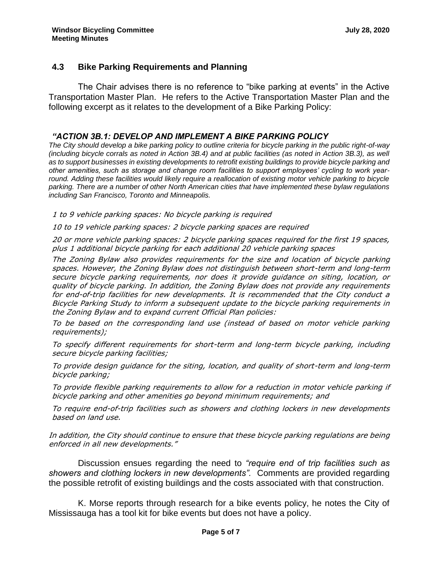## **4.3 Bike Parking Requirements and Planning**

The Chair advises there is no reference to "bike parking at events" in the Active Transportation Master Plan. He refers to the Active Transportation Master Plan and the following excerpt as it relates to the development of a Bike Parking Policy:

#### *"ACTION 3B.1: DEVELOP AND IMPLEMENT A BIKE PARKING POLICY*

*The City should develop a bike parking policy to outline criteria for bicycle parking in the public right-of-way (including bicycle corrals as noted in Action 3B.4) and at public facilities (as noted in Action 3B.3), as well as to support businesses in existing developments to retrofit existing buildings to provide bicycle parking and other amenities, such as storage and change room facilities to support employees' cycling to work year*round. Adding these facilities would likely require a reallocation of existing motor vehicle parking to bicycle *parking. There are a number of other North American cities that have implemented these bylaw regulations including San Francisco, Toronto and Minneapolis.*

1 to 9 vehicle parking spaces: No bicycle parking is required

10 to 19 vehicle parking spaces: 2 bicycle parking spaces are required

20 or more vehicle parking spaces: 2 bicycle parking spaces required for the first 19 spaces, plus 1 additional bicycle parking for each additional 20 vehicle parking spaces

The Zoning Bylaw also provides requirements for the size and location of bicycle parking spaces. However, the Zoning Bylaw does not distinguish between short-term and long-term secure bicycle parking requirements, nor does it provide guidance on siting, location, or quality of bicycle parking. In addition, the Zoning Bylaw does not provide any requirements for end-of-trip facilities for new developments. It is recommended that the City conduct a Bicycle Parking Study to inform a subsequent update to the bicycle parking requirements in the Zoning Bylaw and to expand current Official Plan policies:

To be based on the corresponding land use (instead of based on motor vehicle parking requirements);

To specify different requirements for short-term and long-term bicycle parking, including secure bicycle parking facilities;

To provide design guidance for the siting, location, and quality of short-term and long-term bicycle parking;

To provide flexible parking requirements to allow for a reduction in motor vehicle parking if bicycle parking and other amenities go beyond minimum requirements; and

To require end-of-trip facilities such as showers and clothing lockers in new developments based on land use.

In addition, the City should continue to ensure that these bicycle parking regulations are being enforced in all new developments."

Discussion ensues regarding the need to *"require end of trip facilities such as showers and clothing lockers in new developments".* Comments are provided regarding the possible retrofit of existing buildings and the costs associated with that construction.

K. Morse reports through research for a bike events policy, he notes the City of Mississauga has a tool kit for bike events but does not have a policy.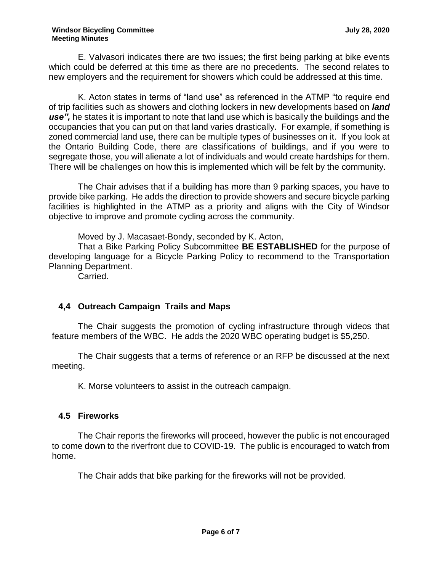E. Valvasori indicates there are two issues; the first being parking at bike events which could be deferred at this time as there are no precedents. The second relates to new employers and the requirement for showers which could be addressed at this time.

K. Acton states in terms of "land use" as referenced in the ATMP "to require end of trip facilities such as showers and clothing lockers in new developments based on *land use",* he states it is important to note that land use which is basically the buildings and the occupancies that you can put on that land varies drastically. For example, if something is zoned commercial land use, there can be multiple types of businesses on it. If you look at the Ontario Building Code, there are classifications of buildings, and if you were to segregate those, you will alienate a lot of individuals and would create hardships for them. There will be challenges on how this is implemented which will be felt by the community.

The Chair advises that if a building has more than 9 parking spaces, you have to provide bike parking. He adds the direction to provide showers and secure bicycle parking facilities is highlighted in the ATMP as a priority and aligns with the City of Windsor objective to improve and promote cycling across the community.

Moved by J. Macasaet-Bondy, seconded by K. Acton,

That a Bike Parking Policy Subcommittee **BE ESTABLISHED** for the purpose of developing language for a Bicycle Parking Policy to recommend to the Transportation Planning Department.

Carried.

## **4,4 Outreach Campaign Trails and Maps**

The Chair suggests the promotion of cycling infrastructure through videos that feature members of the WBC. He adds the 2020 WBC operating budget is \$5,250.

The Chair suggests that a terms of reference or an RFP be discussed at the next meeting.

K. Morse volunteers to assist in the outreach campaign.

## **4.5 Fireworks**

The Chair reports the fireworks will proceed, however the public is not encouraged to come down to the riverfront due to COVID-19. The public is encouraged to watch from home.

The Chair adds that bike parking for the fireworks will not be provided.